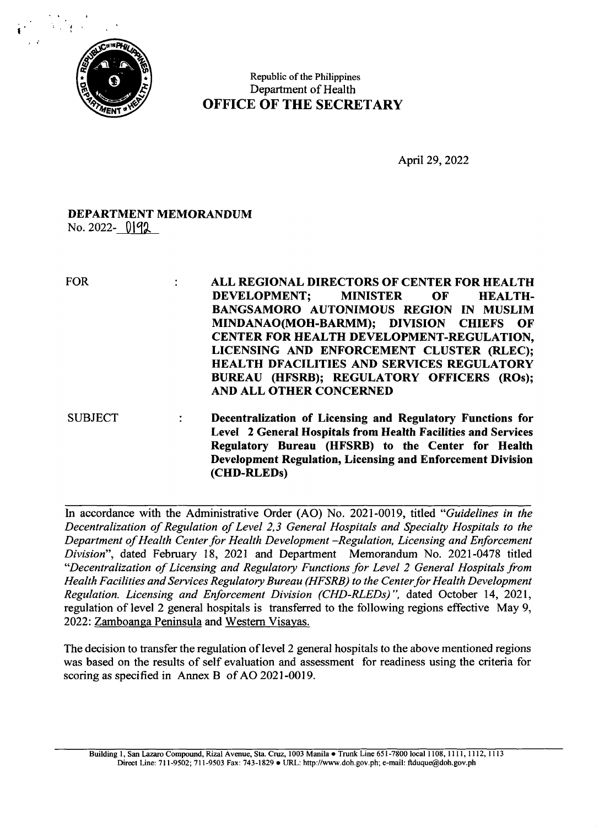

Republic of the Philippines Department of Health OFFICE OF THE SECRETARY

April 29, 2022

## DEPARTMENT MEMORANDUM  $\text{No. } 2022 - 0192$

FOR : ALL REGIONAL DIRECTORS OF CENTER FOR HEALTH DEVELOPMENT; MINISTER OF HEALTH-BANGSAMORO AUTONIMOUS REGION IN MUSLIM MINDANAO(MOH-BARMM); DIVISION CHIEFS OF CENTER FOR HEALTH DEVELOPMENT-REGULATION, LICENSING AND ENFORCEMENT CLUSTER (RLEC); HEALTH DFACILITIES AND SERVICES REGULATORY BUREAU (HFSRB); REGULATORY OFFICERS (ROs); AND ALL OTHER CONCERNED SUBJECT : Decentralization of Licensing and Regulatory Functions for Level <sup>2</sup> General Hospitals from Health Facilities and Services Regulatory Bureau (HFSRB) to the Center for Health Development Regulation, Licensing and Enforcement Division

In accordance with the Administrative Order (AO) No. 2021-0019, titled "Guidelines in the Decentralization of Regulation of Level 2,3 General Hospitals and Specialty Hospitals to the Department of Health Center for Health Development -Regulation, Licensing and Enforcement Division", dated February 18, 2021 and Department Memorandum No. 2021-0478 titled "Decentralization of Licensing and Regulatory Functions for Level <sup>2</sup> General Hospitals from Health Facilities and Services Regulatory Bureau (HFSRB) to the Center for Health Development Regulation. Licensing and Enforcement Division (CHD-RLEDs)", dated October 14, 2021, regulation of level <sup>2</sup> general hospitals is transferred to the following regions effective May 9, 2022: Zamboanga Peninsula and Western Visayas.

(CHD-RLEDs)

The decision to transfer the regulation of level <sup>2</sup> general hospitals to the above mentioned regions was based on the results of self evaluation and assessment for readiness using the criteria for scoring as specified in Annex <sup>B</sup> of AO 2021-0019.